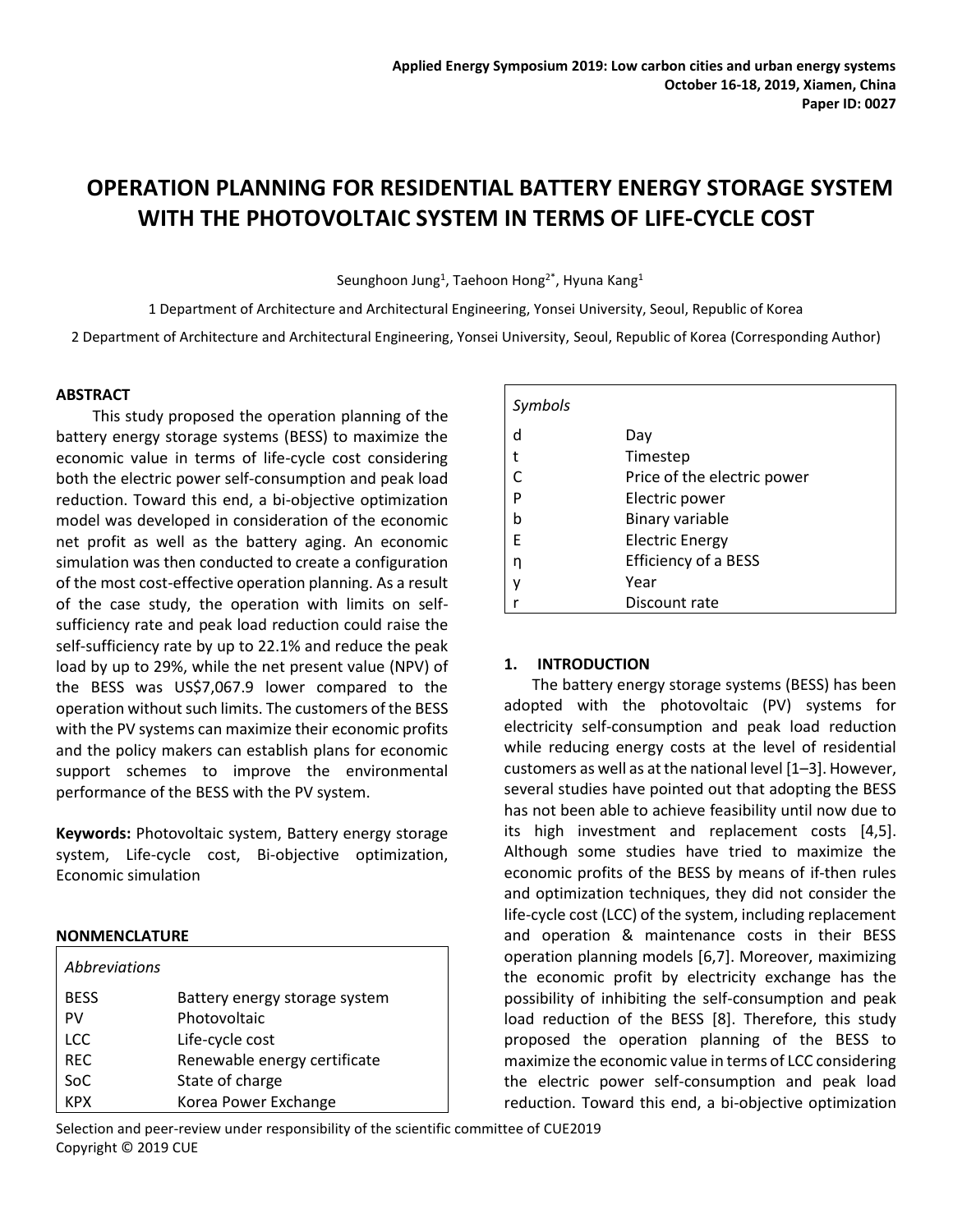# **OPERATION PLANNING FOR RESIDENTIAL BATTERY ENERGY STORAGE SYSTEM WITH THE PHOTOVOLTAIC SYSTEM IN TERMS OF LIFE-CYCLE COST**

Seunghoon Jung<sup>1</sup>, Taehoon Hong<sup>2\*</sup>, Hyuna Kang<sup>1</sup>

1 Department of Architecture and Architectural Engineering, Yonsei University, Seoul, Republic of Korea

2 Department of Architecture and Architectural Engineering, Yonsei University, Seoul, Republic of Korea (Corresponding Author)

## **ABSTRACT**

This study proposed the operation planning of the battery energy storage systems (BESS) to maximize the economic value in terms of life-cycle cost considering both the electric power self-consumption and peak load reduction. Toward this end, a bi-objective optimization model was developed in consideration of the economic net profit as well as the battery aging. An economic simulation was then conducted to create a configuration of the most cost-effective operation planning. As a result of the case study, the operation with limits on selfsufficiency rate and peak load reduction could raise the self-sufficiency rate by up to 22.1% and reduce the peak load by up to 29%, while the net present value (NPV) of the BESS was US\$7,067.9 lower compared to the operation without such limits. The customers of the BESS with the PV systems can maximize their economic profits and the policy makers can establish plans for economic support schemes to improve the environmental performance of the BESS with the PV system.

**Keywords:** Photovoltaic system, Battery energy storage system, Life-cycle cost, Bi-objective optimization, Economic simulation

#### **NONMENCLATURE**

| <i>Abbreviations</i> |                               |
|----------------------|-------------------------------|
| <b>BESS</b>          | Battery energy storage system |
| PV                   | Photovoltaic                  |
| <b>LCC</b>           | Life-cycle cost               |
| <b>REC</b>           | Renewable energy certificate  |
| SoC                  | State of charge               |
| <b>KPX</b>           | Korea Power Exchange          |

| Symbols |                             |
|---------|-----------------------------|
| d       | Day                         |
| t       | Timestep                    |
|         | Price of the electric power |
| P       | Electric power              |
| b       | Binary variable             |
| F       | <b>Electric Energy</b>      |
| n       | Efficiency of a BESS        |
|         | Year                        |
|         | Discount rate               |

#### **1. INTRODUCTION**

The battery energy storage systems (BESS) has been adopted with the photovoltaic (PV) systems for electricity self-consumption and peak load reduction while reducing energy costs at the level of residential customers as well as at the national level [1–3]. However, several studies have pointed out that adopting the BESS has not been able to achieve feasibility until now due to its high investment and replacement costs [4,5]. Although some studies have tried to maximize the economic profits of the BESS by means of if-then rules and optimization techniques, they did not consider the life-cycle cost (LCC) of the system, including replacement and operation & maintenance costs in their BESS operation planning models [6,7]. Moreover, maximizing the economic profit by electricity exchange has the possibility of inhibiting the self-consumption and peak load reduction of the BESS [8]. Therefore, this study proposed the operation planning of the BESS to maximize the economic value in terms of LCC considering the electric power self-consumption and peak load reduction. Toward this end, a bi-objective optimization

Selection and peer-review under responsibility of the scientific committee of CUE2019 Copyright © 2019 CUE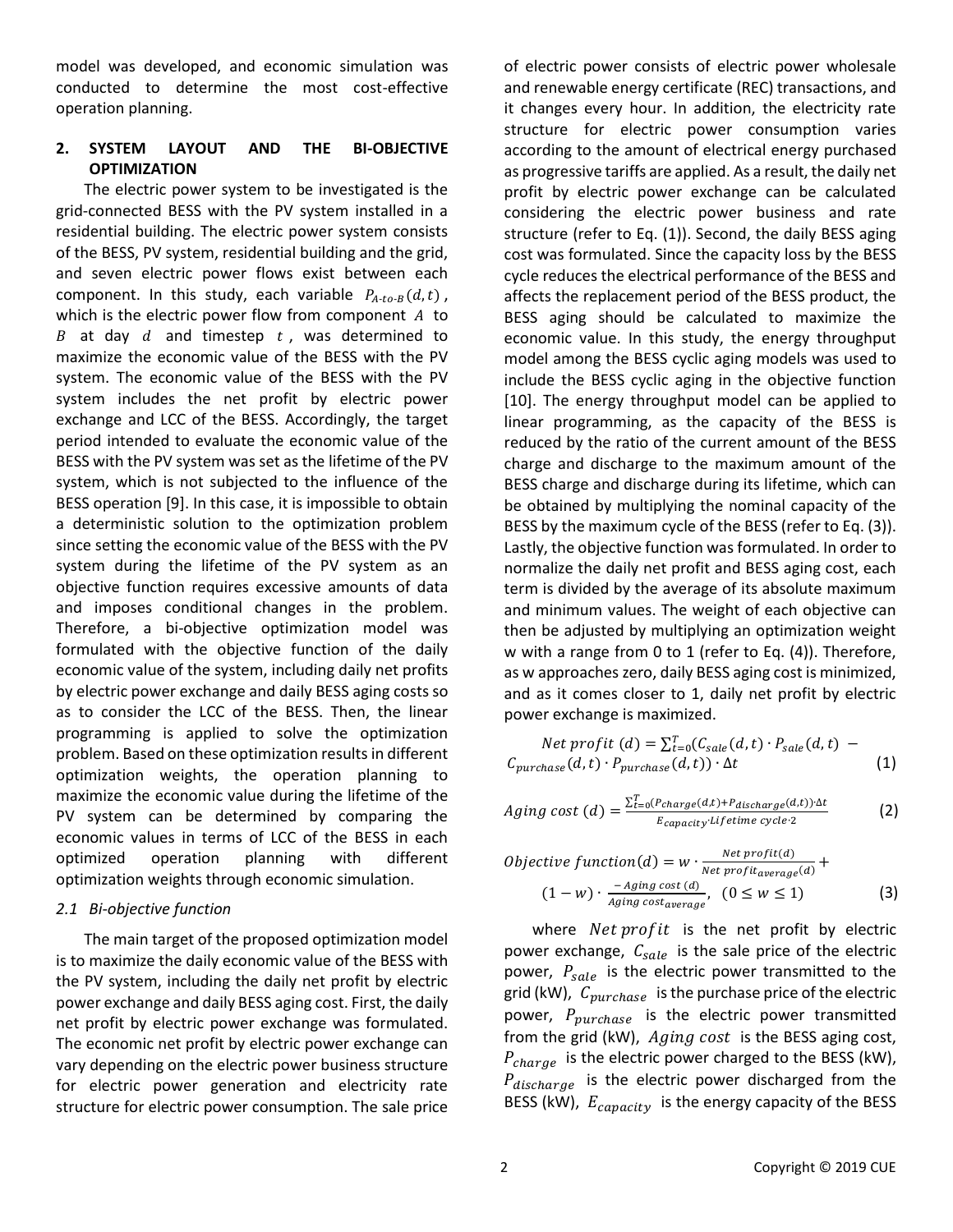model was developed, and economic simulation was conducted to determine the most cost-effective operation planning.

# **2. SYSTEM LAYOUT AND THE BI-OBJECTIVE OPTIMIZATION**

The electric power system to be investigated is the grid-connected BESS with the PV system installed in a residential building. The electric power system consists of the BESS, PV system, residential building and the grid, and seven electric power flows exist between each component. In this study, each variable  $P_{A-to-B}(d,t)$ , which is the electric power flow from component  $A$  to B at day  $d$  and timestep  $t$ , was determined to maximize the economic value of the BESS with the PV system. The economic value of the BESS with the PV system includes the net profit by electric power exchange and LCC of the BESS. Accordingly, the target period intended to evaluate the economic value of the BESS with the PV system was set as the lifetime of the PV system, which is not subjected to the influence of the BESS operation [9]. In this case, it is impossible to obtain a deterministic solution to the optimization problem since setting the economic value of the BESS with the PV system during the lifetime of the PV system as an objective function requires excessive amounts of data and imposes conditional changes in the problem. Therefore, a bi-objective optimization model was formulated with the objective function of the daily economic value of the system, including daily net profits by electric power exchange and daily BESS aging costs so as to consider the LCC of the BESS. Then, the linear programming is applied to solve the optimization problem. Based on these optimization results in different optimization weights, the operation planning to maximize the economic value during the lifetime of the PV system can be determined by comparing the economic values in terms of LCC of the BESS in each optimized operation planning with different optimization weights through economic simulation.

## *2.1 Bi-objective function*

The main target of the proposed optimization model is to maximize the daily economic value of the BESS with the PV system, including the daily net profit by electric power exchange and daily BESS aging cost. First, the daily net profit by electric power exchange was formulated. The economic net profit by electric power exchange can vary depending on the electric power business structure for electric power generation and electricity rate structure for electric power consumption. The sale price of electric power consists of electric power wholesale and renewable energy certificate (REC) transactions, and it changes every hour. In addition, the electricity rate structure for electric power consumption varies according to the amount of electrical energy purchased as progressive tariffs are applied. As a result, the daily net profit by electric power exchange can be calculated considering the electric power business and rate structure (refer to Eq. (1)). Second, the daily BESS aging cost was formulated. Since the capacity loss by the BESS cycle reduces the electrical performance of the BESS and affects the replacement period of the BESS product, the BESS aging should be calculated to maximize the economic value. In this study, the energy throughput model among the BESS cyclic aging models was used to include the BESS cyclic aging in the objective function [10]. The energy throughput model can be applied to linear programming, as the capacity of the BESS is reduced by the ratio of the current amount of the BESS charge and discharge to the maximum amount of the BESS charge and discharge during its lifetime, which can be obtained by multiplying the nominal capacity of the BESS by the maximum cycle of the BESS (refer to Eq. (3)). Lastly, the objective function was formulated. In order to normalize the daily net profit and BESS aging cost, each term is divided by the average of its absolute maximum and minimum values. The weight of each objective can then be adjusted by multiplying an optimization weight w with a range from 0 to 1 (refer to Eq. (4)). Therefore, as w approaches zero, daily BESS aging cost is minimized, and as it comes closer to 1, daily net profit by electric power exchange is maximized.

Net profit (d) = 
$$
\sum_{t=0}^{T} (C_{\text{safe}}(d, t) \cdot P_{\text{safe}}(d, t) - C_{\text{purehase}}(d, t) \cdot P_{\text{purehase}}(d, t)) \cdot \Delta t
$$
 (1)

$$
Again g cost (d) = \frac{\sum_{t=0}^{T} (P_{charge}(d,t) + P_{discharge}(d,t)) \cdot \Delta t}{E_{capacity} \cdot Life time cycle \cdot 2}
$$
 (2)

$$
Objective function(d) = w \cdot \frac{Net\,profit(d)}{Net\,profit(\text{average}(d))} + (1 - w) \cdot \frac{-\,aging\,cost(d)}{Aging\,cost(\text{average})}, \quad (0 \le w \le 1)
$$
\n
$$
(3)
$$

where  $Net profit$  is the net profit by electric power exchange,  $C_{\text{safe}}$  is the sale price of the electric power,  $P_{\text{safe}}$  is the electric power transmitted to the grid (kW),  $C_{purchase}$  is the purchase price of the electric power,  $P_{\text{purchase}}$  is the electric power transmitted from the grid (kW),  $Againg cost$  is the BESS aging cost,  $P_{charge}$  is the electric power charged to the BESS (kW),  $P_{discharge}$  is the electric power discharged from the BESS (kW),  $E_{capacity}$  is the energy capacity of the BESS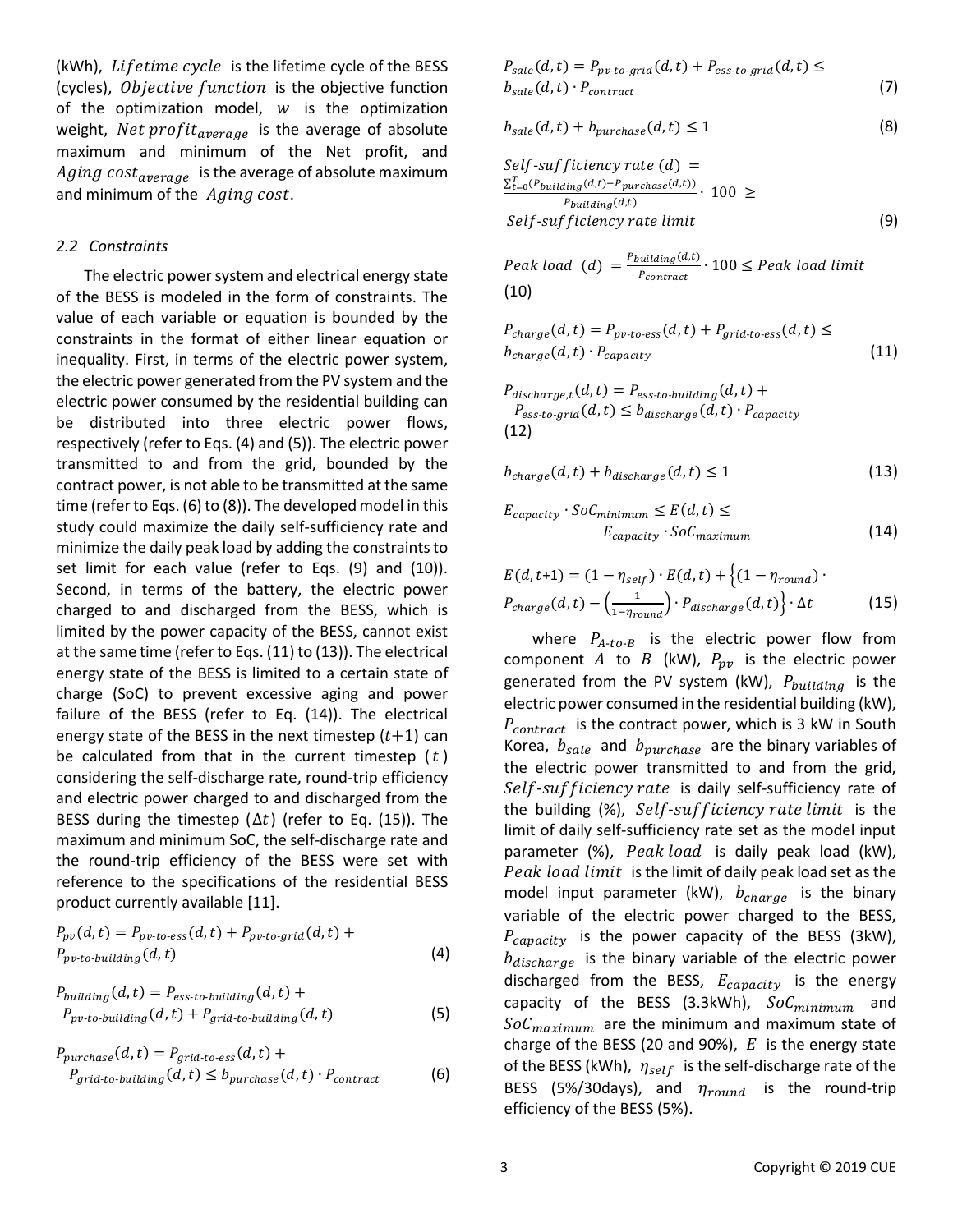(kWh), Lifetime cycle is the lifetime cycle of the BESS (cycles), Objective function is the objective function of the optimization model,  $w$  is the optimization weight, Net  $profit_{average}$  is the average of absolute maximum and minimum of the Net profit, and Aging cost<sub>average</sub> is the average of absolute maximum and minimum of the  $\ Aging\ cost.$ 

### *2.2 Constraints*

The electric power system and electrical energy state of the BESS is modeled in the form of constraints. The value of each variable or equation is bounded by the constraints in the format of either linear equation or inequality. First, in terms of the electric power system, the electric power generated from the PV system and the electric power consumed by the residential building can be distributed into three electric power flows, respectively (refer to Eqs. (4) and (5)). The electric power transmitted to and from the grid, bounded by the contract power, is not able to be transmitted at the same time (refer to Eqs. (6) to (8)). The developed model in this study could maximize the daily self-sufficiency rate and minimize the daily peak load by adding the constraints to set limit for each value (refer to Eqs. (9) and (10)). Second, in terms of the battery, the electric power charged to and discharged from the BESS, which is limited by the power capacity of the BESS, cannot exist at the same time (refer to Eqs. (11) to (13)). The electrical energy state of the BESS is limited to a certain state of charge (SoC) to prevent excessive aging and power failure of the BESS (refer to Eq. (14)). The electrical energy state of the BESS in the next timestep  $(t+1)$  can be calculated from that in the current timestep  $(t)$ considering the self-discharge rate, round-trip efficiency and electric power charged to and discharged from the BESS during the timestep ( $\Delta t$ ) (refer to Eq. (15)). The maximum and minimum SoC, the self-discharge rate and the round-trip efficiency of the BESS were set with reference to the specifications of the residential BESS product currently available [11].

$$
P_{pv}(d,t) = P_{pv-to-ess}(d,t) + P_{pv-to-grid}(d,t) + P_{pv-to-building}(d,t)
$$
\n(4)

$$
P_{building}(d, t) = P_{ess-to-buiding}(d, t) + P_{pv-to-buiding}(d, t) + P_{grid-to-buiding}(d, t)
$$
\n
$$
(5)
$$

$$
P_{purchase}(d, t) = P_{grid-to-ess}(d, t) +
$$
  
\n
$$
P_{grid-to-buidiang}(d, t) \leq b_{purchase}(d, t) \cdot P_{contract}
$$
 (6)

$$
P_{\text{safe}}(d, t) = P_{\text{pv-to-grid}}(d, t) + P_{\text{ess-to-grid}}(d, t) \leq
$$
  
\n
$$
b_{\text{safe}}(d, t) \cdot P_{\text{contract}} \tag{7}
$$

$$
b_{\text{safe}}(d, t) + b_{\text{purchase}}(d, t) \le 1 \tag{8}
$$

$$
Self-sufficiency rate (d) = \frac{\sum_{t=0}^{T} (P_{building}(d,t) - P_{purchase}(d,t))}{P_{building}(d,t)} \cdot 100 \ge
$$
  

$$
Self-sufficiency rate limit
$$
 (9)

Peak load (d)  $=$   $\frac{P_{building}(d,t)}{P_{initial}}$  $\frac{q_{\text{unlating}}(x,c)}{q_{\text{contract}}}$  $\cdot$  100  $\leq$  Peak load limit (10)

$$
P_{charge}(d,t) = P_{pv-to-ess}(d,t) + P_{grid-to-ess}(d,t) \le
$$
  
\n
$$
b_{charge}(d,t) \cdot P_{capacity}
$$
 (11)

 $P_{discharge,t}(d,t) = P_{ess-to-building}(d,t) +$  $P_{ess-to-grid}(d,t) \leq b_{discharge}(d,t) \cdot P_{capacity}$ (12)

$$
b_{charge}(d,t) + b_{discharge}(d,t) \le 1
$$
\n(13)

$$
E_{capacity} \cdot SoC_{minimum} \le E(d, t) \le
$$
  
 
$$
E_{capacity} \cdot SoC_{maximum}
$$
 (14)

$$
E(d, t+1) = (1 - \eta_{self}) \cdot E(d, t) + \{(1 - \eta_{round}) \cdot P_{charge}(d, t) - (\frac{1}{1 - \eta_{round}}) \cdot P_{discharge}(d, t)\} \cdot \Delta t
$$
 (15)

where  $P_{A-to-B}$  is the electric power flow from component A to B (kW),  $P_{pv}$  is the electric power generated from the PV system (kW),  $P_{building}$  is the electric power consumed in the residential building (kW),  $P_{contract}$  is the contract power, which is 3 kW in South Korea,  $b_{\text{safe}}$  and  $b_{\text{p}$  an are the binary variables of the electric power transmitted to and from the grid, Self-sufficiency rate is daily self-sufficiency rate of the building  $(\%)$ , Self-sufficiency rate limit is the limit of daily self-sufficiency rate set as the model input parameter  $(\%)$ , Peak load is daily peak load (kW), Peak load limit is the limit of daily peak load set as the model input parameter (kW),  $b_{charge}$  is the binary variable of the electric power charged to the BESS,  $P_{capacity}$  is the power capacity of the BESS (3kW),  $b_{discharae}$  is the binary variable of the electric power discharged from the BESS,  $E_{capacity}$  is the energy capacity of the BESS (3.3kWh),  $SoC<sub>minimum</sub>$  and  $\delta oC_{maximum}$  are the minimum and maximum state of charge of the BESS (20 and 90%),  $E$  is the energy state of the BESS (kWh),  $\eta_{self}$  is the self-discharge rate of the BESS (5%/30days), and  $\eta_{round}$  is the round-trip efficiency of the BESS (5%).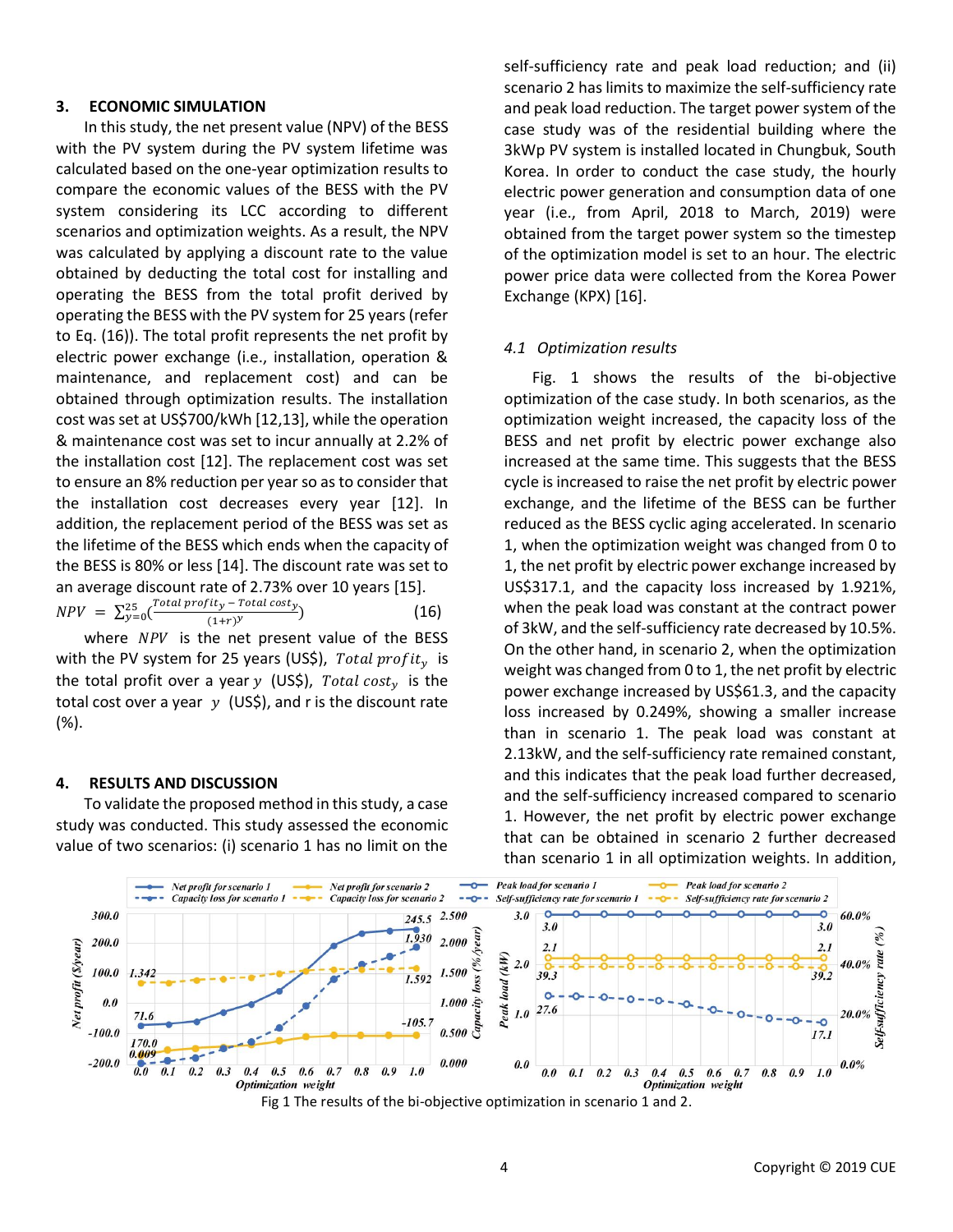## **3. ECONOMIC SIMULATION**

In this study, the net present value (NPV) of the BESS with the PV system during the PV system lifetime was calculated based on the one-year optimization results to compare the economic values of the BESS with the PV system considering its LCC according to different scenarios and optimization weights. As a result, the NPV was calculated by applying a discount rate to the value obtained by deducting the total cost for installing and operating the BESS from the total profit derived by operating the BESS with the PV system for 25 years (refer to Eq. (16)). The total profit represents the net profit by electric power exchange (i.e., installation, operation & maintenance, and replacement cost) and can be obtained through optimization results. The installation cost was set at US\$700/kWh [12,13], while the operation & maintenance cost was set to incur annually at 2.2% of the installation cost [12]. The replacement cost was set to ensure an 8% reduction per year so as to consider that the installation cost decreases every year [12]. In addition, the replacement period of the BESS was set as the lifetime of the BESS which ends when the capacity of the BESS is 80% or less [14]. The discount rate was set to an average discount rate of 2.73% over 10 years [15].  $NPV = \sum_{\nu=0}^{25} (\frac{Total\ profit_y - Total\ cost_y}{(1+\nu)^2})$  $\frac{25}{y=0}$   $\left(\frac{10 \tan \text{proj } u_y - 10 \tan \text{cos} v_y}{(1+r)^y}\right)$ (16)

where  $NPV$  is the net present value of the BESS with the PV system for 25 years (US\$), Total profit<sub>y</sub> is the total profit over a year y (US\$), Total cost<sub>y</sub> is the total cost over a year  $y$  (US\$), and r is the discount rate (%).

#### **4. RESULTS AND DISCUSSION**

To validate the proposed method in this study, a case study was conducted. This study assessed the economic value of two scenarios: (i) scenario 1 has no limit on the

self-sufficiency rate and peak load reduction; and (ii) scenario 2 has limits to maximize the self-sufficiency rate and peak load reduction. The target power system of the case study was of the residential building where the 3kWp PV system is installed located in Chungbuk, South Korea. In order to conduct the case study, the hourly electric power generation and consumption data of one year (i.e., from April, 2018 to March, 2019) were obtained from the target power system so the timestep of the optimization model is set to an hour. The electric power price data were collected from the Korea Power Exchange (KPX) [16].

#### *4.1 Optimization results*

Fig. 1 shows the results of the bi-objective optimization of the case study. In both scenarios, as the optimization weight increased, the capacity loss of the BESS and net profit by electric power exchange also increased at the same time. This suggests that the BESS cycle is increased to raise the net profit by electric power exchange, and the lifetime of the BESS can be further reduced as the BESS cyclic aging accelerated. In scenario 1, when the optimization weight was changed from 0 to 1, the net profit by electric power exchange increased by US\$317.1, and the capacity loss increased by 1.921%, when the peak load was constant at the contract power of 3kW, and the self-sufficiency rate decreased by 10.5%. On the other hand, in scenario 2, when the optimization weight was changed from 0 to 1, the net profit by electric power exchange increased by US\$61.3, and the capacity loss increased by 0.249%, showing a smaller increase than in scenario 1. The peak load was constant at 2.13kW, and the self-sufficiency rate remained constant, and this indicates that the peak load further decreased, and the self-sufficiency increased compared to scenario 1. However, the net profit by electric power exchange that can be obtained in scenario 2 further decreased than scenario 1 in all optimization weights. In addition,



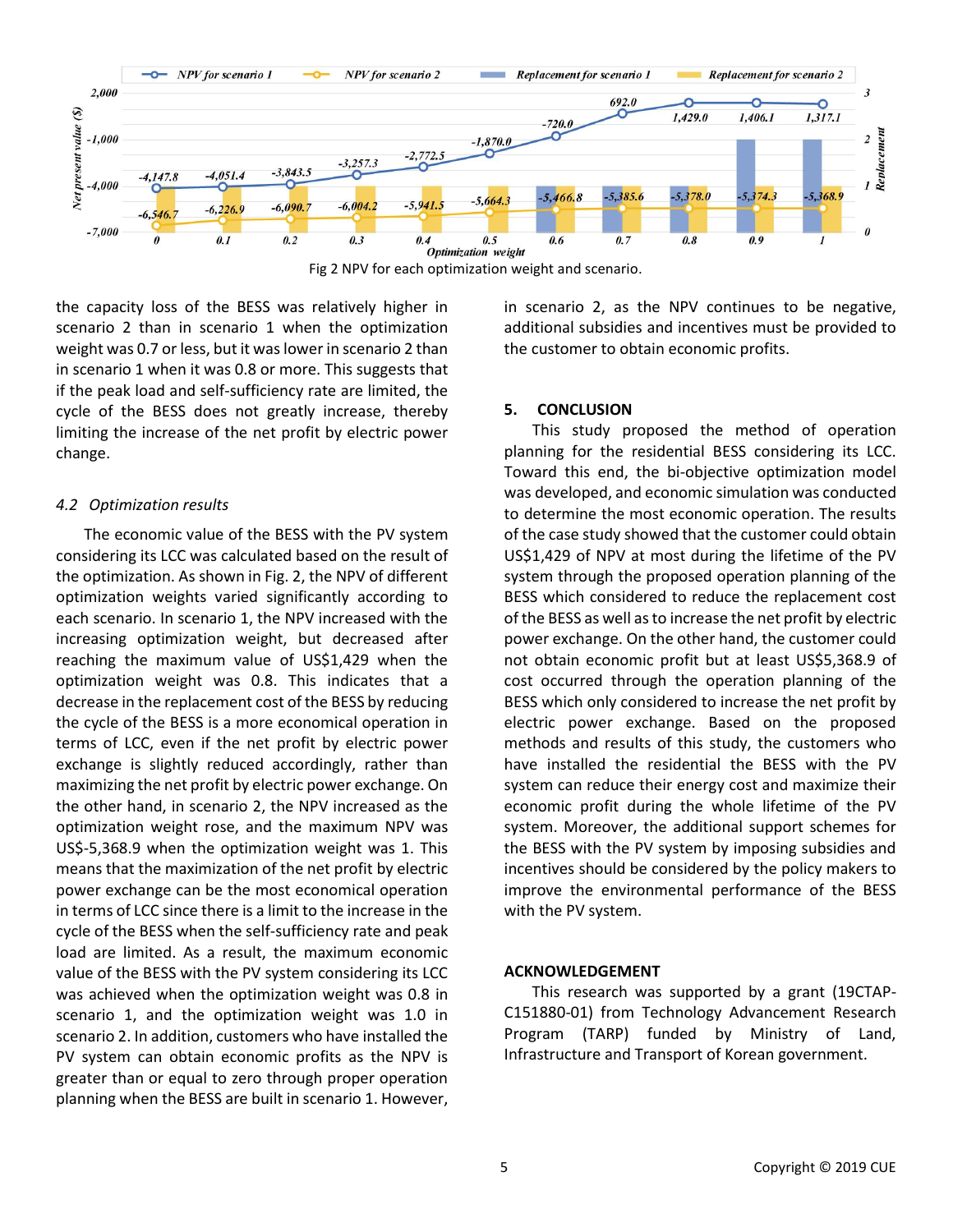

Fig 2 NPV for each optimization weight and scenario.

the capacity loss of the BESS was relatively higher in scenario 2 than in scenario 1 when the optimization weight was 0.7 or less, but it was lower in scenario 2 than in scenario 1 when it was 0.8 or more. This suggests that if the peak load and self-sufficiency rate are limited, the cycle of the BESS does not greatly increase, thereby limiting the increase of the net profit by electric power change.

## *4.2 Optimization results*

The economic value of the BESS with the PV system considering its LCC was calculated based on the result of the optimization. As shown in Fig. 2, the NPV of different optimization weights varied significantly according to each scenario. In scenario 1, the NPV increased with the increasing optimization weight, but decreased after reaching the maximum value of US\$1,429 when the optimization weight was 0.8. This indicates that a decrease in the replacement cost of the BESS by reducing the cycle of the BESS is a more economical operation in terms of LCC, even if the net profit by electric power exchange is slightly reduced accordingly, rather than maximizing the net profit by electric power exchange. On the other hand, in scenario 2, the NPV increased as the optimization weight rose, and the maximum NPV was US\$-5,368.9 when the optimization weight was 1. This means that the maximization of the net profit by electric power exchange can be the most economical operation in terms of LCC since there is a limit to the increase in the cycle of the BESS when the self-sufficiency rate and peak load are limited. As a result, the maximum economic value of the BESS with the PV system considering its LCC was achieved when the optimization weight was 0.8 in scenario 1, and the optimization weight was 1.0 in scenario 2. In addition, customers who have installed the PV system can obtain economic profits as the NPV is greater than or equal to zero through proper operation planning when the BESS are built in scenario 1. However, in scenario 2, as the NPV continues to be negative, additional subsidies and incentives must be provided to the customer to obtain economic profits.

# **5. CONCLUSION**

This study proposed the method of operation planning for the residential BESS considering its LCC. Toward this end, the bi-objective optimization model was developed, and economic simulation was conducted to determine the most economic operation. The results of the case study showed that the customer could obtain US\$1,429 of NPV at most during the lifetime of the PV system through the proposed operation planning of the BESS which considered to reduce the replacement cost of the BESS as well as to increase the net profit by electric power exchange. On the other hand, the customer could not obtain economic profit but at least US\$5,368.9 of cost occurred through the operation planning of the BESS which only considered to increase the net profit by electric power exchange. Based on the proposed methods and results of this study, the customers who have installed the residential the BESS with the PV system can reduce their energy cost and maximize their economic profit during the whole lifetime of the PV system. Moreover, the additional support schemes for the BESS with the PV system by imposing subsidies and incentives should be considered by the policy makers to improve the environmental performance of the BESS with the PV system.

# **ACKNOWLEDGEMENT**

This research was supported by a grant (19CTAP-C151880-01) from Technology Advancement Research Program (TARP) funded by Ministry of Land, Infrastructure and Transport of Korean government.